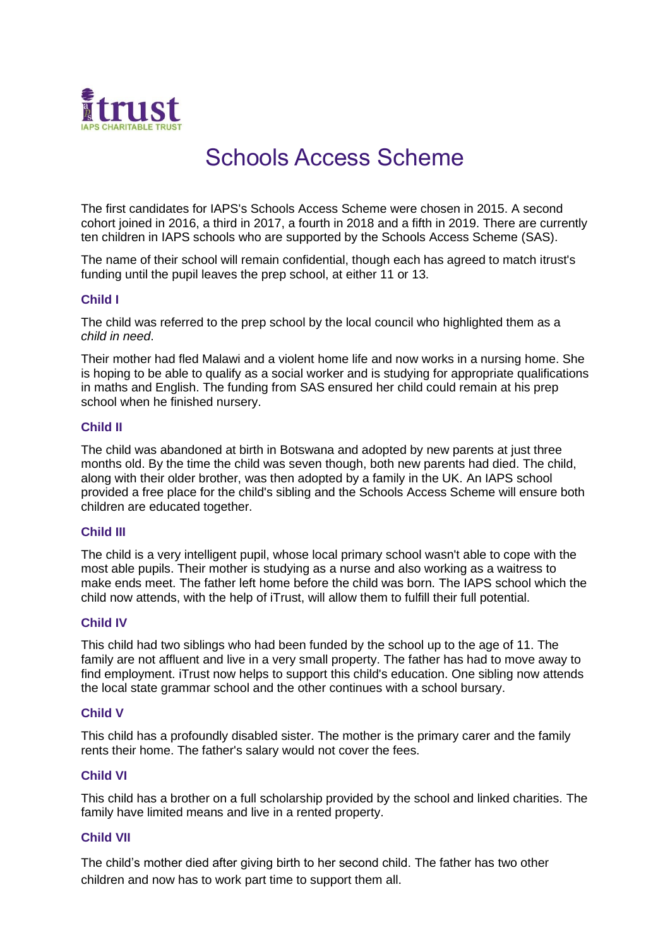

# Schools Access Scheme

The first candidates for IAPS's Schools Access Scheme were chosen in 2015. A second cohort joined in 2016, a third in 2017, a fourth in 2018 and a fifth in 2019. There are currently ten children in IAPS schools who are supported by the Schools Access Scheme (SAS).

The name of their school will remain confidential, though each has agreed to match itrust's funding until the pupil leaves the prep school, at either 11 or 13.

## **Child I**

The child was referred to the prep school by the local council who highlighted them as a *child in need*.

Their mother had fled Malawi and a violent home life and now works in a nursing home. She is hoping to be able to qualify as a social worker and is studying for appropriate qualifications in maths and English. The funding from SAS ensured her child could remain at his prep school when he finished nursery.

#### **Child II**

The child was abandoned at birth in Botswana and adopted by new parents at just three months old. By the time the child was seven though, both new parents had died. The child, along with their older brother, was then adopted by a family in the UK. An IAPS school provided a free place for the child's sibling and the Schools Access Scheme will ensure both children are educated together.

## **Child III**

The child is a very intelligent pupil, whose local primary school wasn't able to cope with the most able pupils. Their mother is studying as a nurse and also working as a waitress to make ends meet. The father left home before the child was born. The IAPS school which the child now attends, with the help of iTrust, will allow them to fulfill their full potential.

#### **Child IV**

This child had two siblings who had been funded by the school up to the age of 11. The family are not affluent and live in a very small property. The father has had to move away to find employment. iTrust now helps to support this child's education. One sibling now attends the local state grammar school and the other continues with a school bursary.

#### **Child V**

This child has a profoundly disabled sister. The mother is the primary carer and the family rents their home. The father's salary would not cover the fees.

#### **Child VI**

This child has a brother on a full scholarship provided by the school and linked charities. The family have limited means and live in a rented property.

#### **Child VII**

The child's mother died after giving birth to her second child. The father has two other children and now has to work part time to support them all.